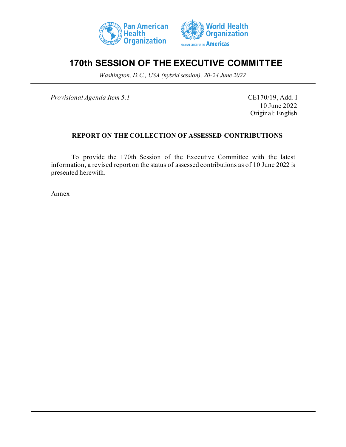



## **170th SESSION OF THE EXECUTIVE COMMITTEE**

*Washington, D.C., USA (hybrid session), 20-24 June 2022*

*Provisional Agenda Item 5.1* CE170/19, Add. I

10 June 2022 Original: English

## **REPORT ON THE COLLECTION OF ASSESSED CONTRIBUTIONS**

To provide the 170th Session of the Executive Committee with the latest information, a revised report on the status of assessed contributions as of 10 June 2022 is presented herewith.

Annex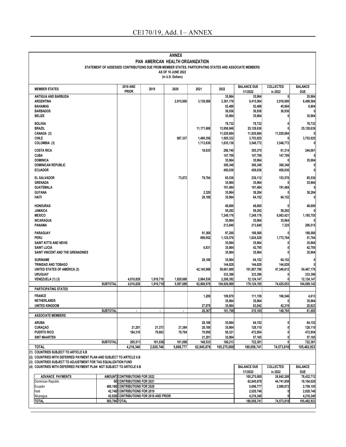|                                                                                                                                                                              |                                                                                                                               |                                         |                | ANNEX                                   |                         |                         |                                                                                                        |                             |                       |
|------------------------------------------------------------------------------------------------------------------------------------------------------------------------------|-------------------------------------------------------------------------------------------------------------------------------|-----------------------------------------|----------------|-----------------------------------------|-------------------------|-------------------------|--------------------------------------------------------------------------------------------------------|-----------------------------|-----------------------|
|                                                                                                                                                                              |                                                                                                                               |                                         |                | PAN AMERICAN HEALTH ORGANIZATION        |                         |                         | STATEMENT OF ASSESSED CONTRIBUTIONS DUE FROM MEMBER STATES, PARTICIPATING STATES AND ASSOCIATE MEMBERS |                             |                       |
|                                                                                                                                                                              |                                                                                                                               |                                         |                | AS OF 10 JUNE 2022<br>(in U.S. Dollars) |                         |                         |                                                                                                        |                             |                       |
| <b>MEMBER STATES</b>                                                                                                                                                         |                                                                                                                               | <b>2018 AND</b><br><b>PRIOR</b>         | 2019           | 2020                                    | 2021                    | 2022                    | <b>BALANCE DUE</b><br>1/1/2022                                                                         | <b>COLLECTED</b><br>in 2022 | <b>BALANCE</b><br>DUE |
| ANTIGUA AND BARBUDA                                                                                                                                                          |                                                                                                                               |                                         |                |                                         |                         | 35,964                  | 35,964                                                                                                 | 0                           | 35,964                |
| <b>ARGENTINA</b>                                                                                                                                                             |                                                                                                                               |                                         |                | 2,915,800                               | 3,138,588               | 3,361,176               | 9,415,564                                                                                              | 2,916,000                   | 6,499,564             |
| <b>BAHAMAS</b><br><b>BARBADOS</b>                                                                                                                                            |                                                                                                                               |                                         |                |                                         |                         | 52,488<br>36,936        | 52,488<br>36,936                                                                                       | 45,684<br>36,936            | 6,804<br>n            |
| <b>BELIZE</b>                                                                                                                                                                |                                                                                                                               |                                         |                |                                         |                         | 35,964                  | 35,964                                                                                                 |                             | 35,964                |
| <b>BOLIVIA</b>                                                                                                                                                               |                                                                                                                               |                                         |                |                                         |                         | 78,732                  | 78,732                                                                                                 |                             | 78,732                |
| <b>BRAZIL</b>                                                                                                                                                                |                                                                                                                               |                                         |                |                                         | 11,171,688              | 13,956,948              | 25,128,636                                                                                             |                             | 25,128,636            |
| CANADA (3)                                                                                                                                                                   |                                                                                                                               |                                         |                |                                         |                         | 11,020,684              | 11,020,684                                                                                             | 11,020,684                  | 0                     |
| CHILE                                                                                                                                                                        |                                                                                                                               |                                         |                | 687,337                                 | 1,480,356               | 1,585,332               | 3,753,025                                                                                              |                             | 3,753,025             |
| COLOMBIA (3)                                                                                                                                                                 |                                                                                                                               |                                         |                |                                         | 1,713,636               | 1,835,136               | 3,548,772                                                                                              | 3,548,772                   |                       |
| <b>COSTA RICA</b>                                                                                                                                                            |                                                                                                                               |                                         |                |                                         | 18,635                  | 286,740                 | 305,375                                                                                                | 61,314                      | 244,061               |
| <b>CUBA</b>                                                                                                                                                                  |                                                                                                                               |                                         |                |                                         |                         | 147,709                 | 147,709                                                                                                | 147,709                     |                       |
| <b>DOMINICA</b><br><b>DOMINICAN REPUBLIC</b>                                                                                                                                 |                                                                                                                               |                                         |                |                                         |                         | 35,964<br>300,348       | 35,964<br>300,348                                                                                      | 300,348                     | 35,964<br>0           |
| <b>ECUADOR</b>                                                                                                                                                               |                                                                                                                               |                                         |                |                                         |                         | 450,036                 | 450,036                                                                                                | 450,036                     | 0                     |
| <b>EL SALVADOR</b>                                                                                                                                                           |                                                                                                                               |                                         |                |                                         |                         |                         |                                                                                                        |                             |                       |
| <b>GRENADA</b>                                                                                                                                                               |                                                                                                                               |                                         |                | 73,872                                  | 79,704                  | 85,536<br>35,964        | 239,112<br>35,964                                                                                      | 153,576                     | 85,536<br>35,964      |
| <b>GUATEMALA</b>                                                                                                                                                             |                                                                                                                               |                                         |                |                                         |                         | 191,484                 | 191,484                                                                                                | 191,484                     | 0                     |
| <b>GUYANA</b>                                                                                                                                                                |                                                                                                                               |                                         |                |                                         | 2,320                   | 35,964                  | 38,284                                                                                                 |                             | 38,284                |
| <b>HAITI</b>                                                                                                                                                                 |                                                                                                                               |                                         |                |                                         | 28,188                  | 35,964                  | 64,152                                                                                                 | 64,152                      | 0                     |
| <b>HONDURAS</b>                                                                                                                                                              |                                                                                                                               |                                         |                |                                         |                         | 48,600                  | 48,600                                                                                                 |                             | 48,600                |
| <b>JAMAICA</b>                                                                                                                                                               |                                                                                                                               |                                         |                |                                         |                         | 59,292                  | 59,292                                                                                                 | 59,292                      |                       |
| <b>MEXICO</b>                                                                                                                                                                |                                                                                                                               |                                         |                |                                         |                         | 7,249,176               | 7,249,176                                                                                              | 6,063,421                   | 1,185,755             |
| <b>NICARAGUA</b>                                                                                                                                                             |                                                                                                                               |                                         |                |                                         |                         | 35,964                  | 35,964                                                                                                 | 35,964                      |                       |
| <b>PANAMA</b>                                                                                                                                                                |                                                                                                                               |                                         |                |                                         |                         | 213,840                 | 213,840                                                                                                | 7,325                       | 206,515               |
| PARAGUAY                                                                                                                                                                     |                                                                                                                               |                                         |                |                                         | 91,368                  | 97,200                  | 188,568                                                                                                |                             | 188,568               |
| PERU<br>SAINT KITTS AND NEVIS                                                                                                                                                |                                                                                                                               |                                         |                |                                         | 698,952                 | 1,125,576<br>35,964     | 1,824,528<br>35,964                                                                                    | 1,772,764<br>0              | 51,764<br>35,964      |
| <b>SAINT LUCIA</b>                                                                                                                                                           |                                                                                                                               |                                         |                |                                         | 6,831                   | 35,964                  | 42,795                                                                                                 | $\mathbf{0}$                | 42,795                |
| SAINT VINCENT AND THE GRENADINES                                                                                                                                             |                                                                                                                               |                                         |                |                                         |                         | 35,964                  | 35,964                                                                                                 |                             | 35,964                |
| <b>SURINAME</b>                                                                                                                                                              |                                                                                                                               |                                         |                |                                         | 28,188                  | 35,964                  | 64,152                                                                                                 | 64,152                      | 0                     |
| TRINIDAD AND TOBAGO                                                                                                                                                          |                                                                                                                               |                                         |                |                                         |                         | 144,828                 | 144,828                                                                                                | 144,828                     |                       |
| <b>UNITED STATES OF AMERICA (3)</b>                                                                                                                                          |                                                                                                                               |                                         |                |                                         | 42,145,988              | 59,661,800              | 101,807,788                                                                                            | 47,340,612<br>0             | 54,467,176            |
| <b>URUGUAY</b><br>VENEZUELA (1) (3)                                                                                                                                          |                                                                                                                               | 4,010,829                               | 1,919,710      | 1,920,680                               | 2,064,536               | 333,396<br>2.208.392    | 333,396<br>12,124,147                                                                                  | 0                           | 333,396<br>12,124,147 |
|                                                                                                                                                                              | <b>SUBTOTAL</b>                                                                                                               | 4,010,829                               | 1.919.710      | 5,597,689                               | 62,668,978              | 104,926,989             | 179,124,195                                                                                            | 74,425,053                  | 104,699,142           |
| <b>PARTICIPATING STATES</b>                                                                                                                                                  |                                                                                                                               |                                         |                |                                         |                         |                         |                                                                                                        |                             |                       |
| <b>FRANCE</b><br><b>NETHERLANDS</b>                                                                                                                                          |                                                                                                                               |                                         |                |                                         | 1,289                   | 109,870                 | 111,159                                                                                                | 106,546                     | 4,613<br>35,964       |
| UNITED KINGDOM                                                                                                                                                               |                                                                                                                               |                                         |                |                                         | 27,078                  | 35,964<br>35,964        | 35,964<br>63,042                                                                                       | 42,219                      | 20,823                |
|                                                                                                                                                                              | <b>SUBTOTAL</b>                                                                                                               | $\blacksquare$                          | $\blacksquare$ | $\blacksquare$                          | 28,367                  | 181,798                 | 210,165                                                                                                | 148,765                     | 61,400                |
| <b>ASSOCIATE MEMBERS</b>                                                                                                                                                     |                                                                                                                               |                                         |                |                                         |                         |                         |                                                                                                        |                             |                       |
| <b>ARUBA</b>                                                                                                                                                                 |                                                                                                                               |                                         |                |                                         | 28,188                  | 35,964                  | 64,152                                                                                                 | $\mathbf{0}$                | 64,152                |
| <b>CURACAO</b>                                                                                                                                                               |                                                                                                                               | 21,201                                  | 21,373         | 21,384                                  | 28,188                  | 35,964                  | 128,110                                                                                                |                             | 128,110               |
| <b>PUERTO RICO</b><br><b>SINT MAARTEN</b>                                                                                                                                    |                                                                                                                               | 184,310                                 | 79,663         | 79,704                                  | 70,956<br>21,201        | 58,321<br>35,964        | 472,954<br>57,165                                                                                      | 0<br>0                      | 472,954<br>57,165     |
|                                                                                                                                                                              | <b>SUBTOTAL</b>                                                                                                               | 205,511                                 | 101,036        | 101,088                                 | 148,533                 | 166,213                 | 722,381                                                                                                | 0                           | 722,381               |
| <b>TOTAL</b>                                                                                                                                                                 |                                                                                                                               | 4.216.340                               | 2,020,746      | 5,698,777                               | 62,845,878              | 105,275,000             | 180.056.741                                                                                            | 74,573,818                  | 105,482,923           |
| (1) COUNTRIES SUBJECT TO ARTICLE 6.B<br>(2) COUNTRIES WITH DEFERRED PAYMENT PLAN AND SUBJECT TO ARTICLE 6.B<br>(3) COUNTRIES SUBJECT TO ADJUSTMENT FOR TAX EQUALIZATION FUND |                                                                                                                               |                                         |                |                                         | <b>BALANCE DUE</b>      | <b>COLLECTED</b>        | <b>BALANCE</b>                                                                                         |                             |                       |
| (4) COUNTRIES WITH DEFERRED PAYMENT PLAN NOT SUBJECT TO ARTICLE 6.B                                                                                                          |                                                                                                                               |                                         |                |                                         | 1/1/2022                | in 2022                 | <b>DUE</b>                                                                                             |                             |                       |
| <b>ADVANCE PAYMENTS</b>                                                                                                                                                      |                                                                                                                               | AMOUNT CONTRIBUTIONS FOR 2022           |                |                                         |                         |                         | 105,275,000                                                                                            | 26,842,288                  | 78,432,712            |
|                                                                                                                                                                              | 50 CONTRIBUTIONS FOR 2021<br>Dominican Republic<br>480,168 CONTRIBUTIONS FOR 2020<br>Ecuador<br>42,748 CONTRIBUTIONS FOR 2019 |                                         |                |                                         | 62,845,878<br>5,698,777 | 44,741,858<br>2,989,672 | 18,104,020<br>2,709,105                                                                                |                             |                       |
| Haiti                                                                                                                                                                        |                                                                                                                               |                                         |                |                                         | 2,020,746               | $\mathbf{0}$            | 2,020,746                                                                                              |                             |                       |
| Nicaragua                                                                                                                                                                    |                                                                                                                               | 42,828 CONTRIBUTIONS FOR 2018 AND PRIOR |                |                                         |                         |                         | 4,216,340                                                                                              |                             | 4,216,340             |
| TOTAL                                                                                                                                                                        | 565,794 TOTAL                                                                                                                 |                                         |                |                                         |                         |                         | 180,056,741                                                                                            | 74,573,818                  | 105,482,923           |
|                                                                                                                                                                              |                                                                                                                               |                                         |                |                                         |                         |                         |                                                                                                        |                             |                       |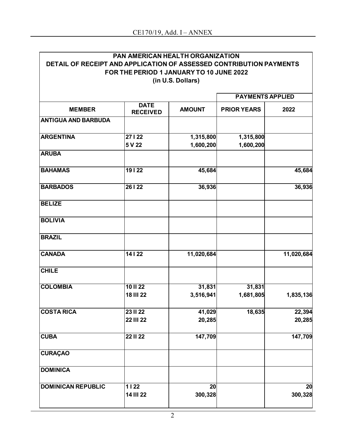|                                                                     | PAN AMERICAN HEALTH ORGANIZATION         |                   |                    |            |
|---------------------------------------------------------------------|------------------------------------------|-------------------|--------------------|------------|
| DETAIL OF RECEIPT AND APPLICATION OF ASSESSED CONTRIBUTION PAYMENTS |                                          |                   |                    |            |
|                                                                     | FOR THE PERIOD 1 JANUARY TO 10 JUNE 2022 | (in U.S. Dollars) |                    |            |
|                                                                     | <b>PAYMENTS APPLIED</b>                  |                   |                    |            |
| <b>MEMBER</b>                                                       | <b>DATE</b><br><b>RECEIVED</b>           | <b>AMOUNT</b>     | <b>PRIOR YEARS</b> | 2022       |
| <b>ANTIGUA AND BARBUDA</b>                                          |                                          |                   |                    |            |
| <b>ARGENTINA</b>                                                    | 27   22                                  | 1,315,800         | 1,315,800          |            |
|                                                                     | 5 V 22                                   | 1,600,200         | 1,600,200          |            |
| <b>ARUBA</b>                                                        |                                          |                   |                    |            |
| <b>BAHAMAS</b>                                                      | 19122                                    | 45,684            |                    | 45,684     |
| <b>BARBADOS</b>                                                     | 26   22                                  | 36,936            |                    | 36,936     |
| <b>BELIZE</b>                                                       |                                          |                   |                    |            |
| <b>BOLIVIA</b>                                                      |                                          |                   |                    |            |
| <b>BRAZIL</b>                                                       |                                          |                   |                    |            |
| <b>CANADA</b>                                                       | 14   22                                  | 11,020,684        |                    | 11,020,684 |
| <b>CHILE</b>                                                        |                                          |                   |                    |            |
| <b>COLOMBIA</b>                                                     | 10 II 22                                 | 31,831            | 31,831             |            |
|                                                                     | <b>18 III 22</b>                         | 3,516,941         | 1,681,805          | 1,835,136  |
| <b>COSTA RICA</b>                                                   | 23 II 22                                 | 41,029            | 18,635             | 22,394     |
|                                                                     | <b>22 III 22</b>                         | 20,285            |                    | 20,285     |
| <b>CUBA</b>                                                         | <b>22 II 22</b>                          | 147,709           |                    | 147,709    |
| <b>CURAÇAO</b>                                                      |                                          |                   |                    |            |
| <b>DOMINICA</b>                                                     |                                          |                   |                    |            |
| <b>DOMINICAN REPUBLIC</b>                                           | $1122$                                   | $\overline{20}$   |                    | 20         |
|                                                                     | 14 III 22                                | 300,328           |                    | 300,328    |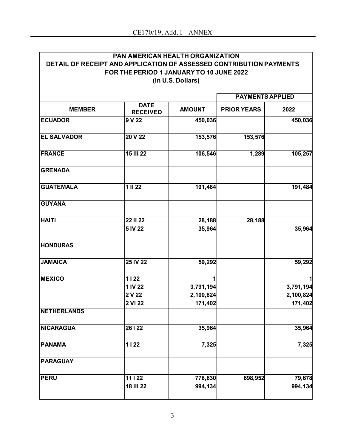|                                                                     | PAN AMERICAN HEALTH ORGANIZATION         |                   |                    |           |
|---------------------------------------------------------------------|------------------------------------------|-------------------|--------------------|-----------|
| DETAIL OF RECEIPT AND APPLICATION OF ASSESSED CONTRIBUTION PAYMENTS |                                          |                   |                    |           |
|                                                                     | FOR THE PERIOD 1 JANUARY TO 10 JUNE 2022 |                   |                    |           |
|                                                                     |                                          | (in U.S. Dollars) |                    |           |
|                                                                     | <b>PAYMENTS APPLIED</b>                  |                   |                    |           |
| <b>MEMBER</b>                                                       | <b>DATE</b><br><b>RECEIVED</b>           | <b>AMOUNT</b>     | <b>PRIOR YEARS</b> | 2022      |
| <b>ECUADOR</b>                                                      | 9 V 22                                   | 450,036           |                    | 450,036   |
| <b>EL SALVADOR</b>                                                  | 20 V 22                                  | 153,576           | 153,576            |           |
| <b>FRANCE</b>                                                       | <b>15 III 22</b>                         | 106,546           | 1,289              | 105,257   |
| <b>GRENADA</b>                                                      |                                          |                   |                    |           |
| <b>GUATEMALA</b>                                                    | $\overline{1}$ III 22                    | 191,484           |                    | 191,484   |
| <b>GUYANA</b>                                                       |                                          |                   |                    |           |
| <b>HAITI</b>                                                        | <b>22 II 22</b>                          | 28,188            | 28,188             |           |
|                                                                     | 5 IV 22                                  | 35,964            |                    | 35,964    |
| <b>HONDURAS</b>                                                     |                                          |                   |                    |           |
| <b>JAMAICA</b>                                                      | 25 IV 22                                 | 59,292            |                    | 59,292    |
| <b>MEXICO</b>                                                       | 1122                                     |                   |                    |           |
|                                                                     | 1 IV 22                                  | 3,791,194         |                    | 3,791,194 |
|                                                                     | 2 V 22                                   | 2,100,824         |                    | 2,100,824 |
| <b>NETHERLANDS</b>                                                  | 2 VI 22                                  | 171,402           |                    | 171,402   |
| <b>NICARAGUA</b>                                                    | 26   22                                  | 35,964            |                    | 35,964    |
| <b>PANAMA</b>                                                       | $1122$                                   | 7,325             |                    | 7,325     |
| <b>PARAGUAY</b>                                                     |                                          |                   |                    |           |
| <b>PERU</b>                                                         | 11   22                                  | 778,630           | 698,952            | 79,678    |
|                                                                     | <b>18 III 22</b>                         | 994,134           |                    | 994,134   |